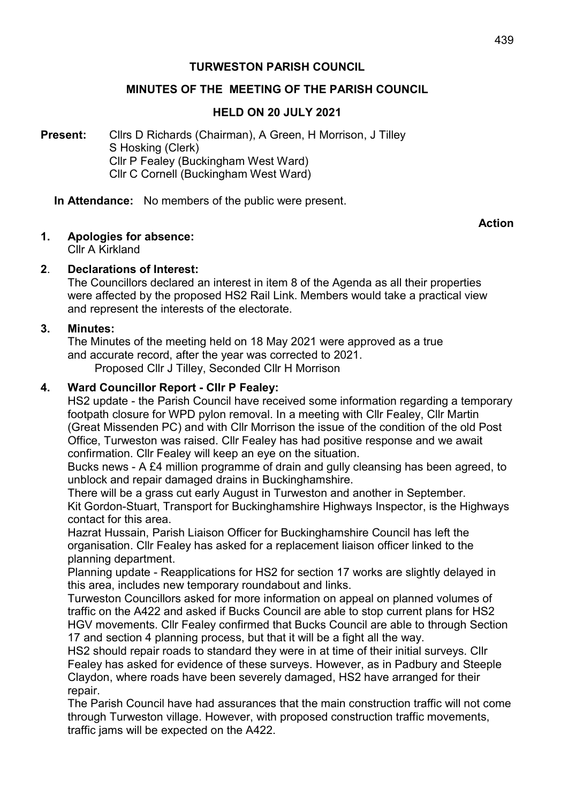### TURWESTON PARISH COUNCIL

### MINUTES OF THE MEETING OF THE PARISH COUNCIL

### HELD ON 20 JULY 2021

Present: Clirs D Richards (Chairman), A Green, H Morrison, J Tilley S Hosking (Clerk) Cllr P Fealey (Buckingham West Ward) Cllr C Cornell (Buckingham West Ward)

In Attendance: No members of the public were present.

Action

1. Apologies for absence:

Cllr A Kirkland

#### 2. Declarations of Interest:

 The Councillors declared an interest in item 8 of the Agenda as all their properties were affected by the proposed HS2 Rail Link. Members would take a practical view and represent the interests of the electorate.

#### 3. Minutes:

 The Minutes of the meeting held on 18 May 2021 were approved as a true and accurate record, after the year was corrected to 2021. Proposed Cllr J Tilley, Seconded Cllr H Morrison

### 4. Ward Councillor Report - Cllr P Fealey:

HS2 update - the Parish Council have received some information regarding a temporary footpath closure for WPD pylon removal. In a meeting with Cllr Fealey, Cllr Martin (Great Missenden PC) and with Cllr Morrison the issue of the condition of the old Post Office, Turweston was raised. Cllr Fealey has had positive response and we await confirmation. Cllr Fealey will keep an eye on the situation.

 Bucks news - A £4 million programme of drain and gully cleansing has been agreed, to unblock and repair damaged drains in Buckinghamshire.

 There will be a grass cut early August in Turweston and another in September. Kit Gordon-Stuart, Transport for Buckinghamshire Highways Inspector, is the Highways contact for this area.

Hazrat Hussain, Parish Liaison Officer for Buckinghamshire Council has left the organisation. Cllr Fealey has asked for a replacement liaison officer linked to the planning department.

Planning update - Reapplications for HS2 for section 17 works are slightly delayed in this area, includes new temporary roundabout and links.

Turweston Councillors asked for more information on appeal on planned volumes of traffic on the A422 and asked if Bucks Council are able to stop current plans for HS2 HGV movements. Cllr Fealey confirmed that Bucks Council are able to through Section 17 and section 4 planning process, but that it will be a fight all the way.

HS2 should repair roads to standard they were in at time of their initial surveys. Cllr Fealey has asked for evidence of these surveys. However, as in Padbury and Steeple Claydon, where roads have been severely damaged, HS2 have arranged for their repair.

 The Parish Council have had assurances that the main construction traffic will not come through Turweston village. However, with proposed construction traffic movements, traffic jams will be expected on the A422.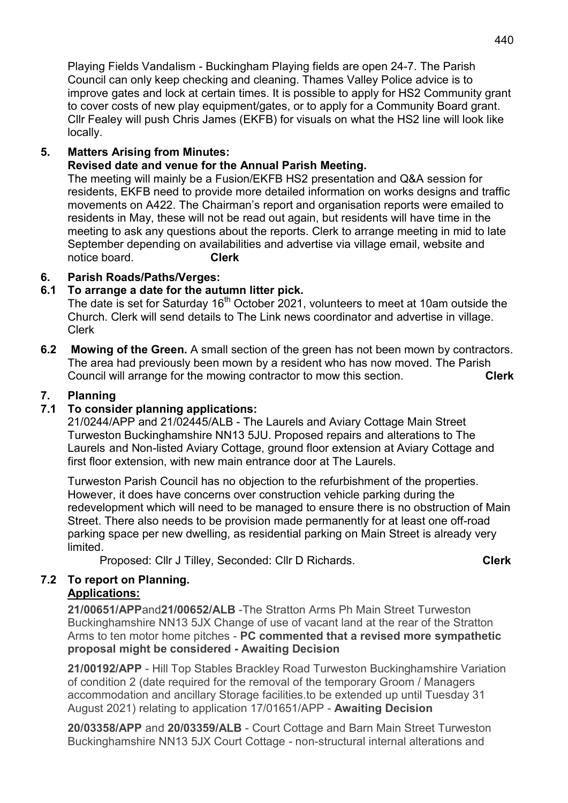Playing Fields Vandalism - Buckingham Playing fields are open 24-7. The Parish Council can only keep checking and cleaning. Thames Valley Police advice is to improve gates and lock at certain times. It is possible to apply for HS2 Community grant to cover costs of new play equipment/gates, or to apply for a Community Board grant. Cllr Fealey will push Chris James (EKFB) for visuals on what the HS2 line will look like locally.

## 5. Matters Arising from Minutes:

## Revised date and venue for the Annual Parish Meeting.

 The meeting will mainly be a Fusion/EKFB HS2 presentation and Q&A session for residents, EKFB need to provide more detailed information on works designs and traffic movements on A422. The Chairman's report and organisation reports were emailed to residents in May, these will not be read out again, but residents will have time in the meeting to ask any questions about the reports. Clerk to arrange meeting in mid to late September depending on availabilities and advertise via village email, website and notice board. Clerk

## 6. Parish Roads/Paths/Verges:

## 6.1 To arrange a date for the autumn litter pick.

The date is set for Saturday 16<sup>th</sup> October 2021, volunteers to meet at 10am outside the Church. Clerk will send details to The Link news coordinator and advertise in village. Clerk

6.2 Mowing of the Green. A small section of the green has not been mown by contractors. The area had previously been mown by a resident who has now moved. The Parish Council will arrange for the mowing contractor to mow this section. Clerk

## 7. Planning

# 7.1 To consider planning applications:

 21/0244/APP and 21/02445/ALB - The Laurels and Aviary Cottage Main Street Turweston Buckinghamshire NN13 5JU. Proposed repairs and alterations to The Laurels and Non-listed Aviary Cottage, ground floor extension at Aviary Cottage and first floor extension, with new main entrance door at The Laurels.

 Turweston Parish Council has no objection to the refurbishment of the properties. However, it does have concerns over construction vehicle parking during the redevelopment which will need to be managed to ensure there is no obstruction of Main Street. There also needs to be provision made permanently for at least one off-road parking space per new dwelling, as residential parking on Main Street is already very limited.

Proposed: Cllr J Tilley, Seconded: Cllr D Richards. Clerk Clerk

### 7.2 To report on Planning. Applications:

21/00651/APPand21/00652/ALB -The Stratton Arms Ph Main Street Turweston Buckinghamshire NN13 5JX Change of use of vacant land at the rear of the Stratton Arms to ten motor home pitches - PC commented that a revised more sympathetic proposal might be considered - Awaiting Decision

21/00192/APP - Hill Top Stables Brackley Road Turweston Buckinghamshire Variation of condition 2 (date required for the removal of the temporary Groom / Managers accommodation and ancillary Storage facilities.to be extended up until Tuesday 31 August 2021) relating to application 17/01651/APP - Awaiting Decision

20/03358/APP and 20/03359/ALB - Court Cottage and Barn Main Street Turweston Buckinghamshire NN13 5JX Court Cottage - non-structural internal alterations and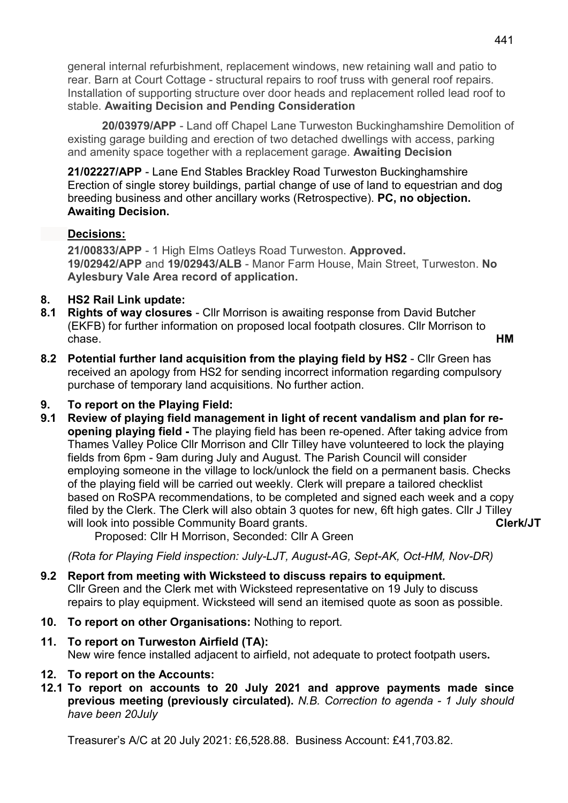general internal refurbishment, replacement windows, new retaining wall and patio to rear. Barn at Court Cottage - structural repairs to roof truss with general roof repairs. Installation of supporting structure over door heads and replacement rolled lead roof to stable. Awaiting Decision and Pending Consideration

 20/03979/APP - Land off Chapel Lane Turweston Buckinghamshire Demolition of existing garage building and erection of two detached dwellings with access, parking and amenity space together with a replacement garage. Awaiting Decision

 21/02227/APP - Lane End Stables Brackley Road Turweston Buckinghamshire Erection of single storey buildings, partial change of use of land to equestrian and dog breeding business and other ancillary works (Retrospective). PC, no objection. Awaiting Decision.

## Decisions:

21/00833/APP - 1 High Elms Oatleys Road Turweston. Approved. 19/02942/APP and 19/02943/ALB - Manor Farm House, Main Street, Turweston. No Aylesbury Vale Area record of application.

## 8. HS2 Rail Link update:

- 8.1 Rights of way closures Cllr Morrison is awaiting response from David Butcher (EKFB) for further information on proposed local footpath closures. Cllr Morrison to chase. HM
- 8.2 Potential further land acquisition from the playing field by HS2 Cllr Green has received an apology from HS2 for sending incorrect information regarding compulsory purchase of temporary land acquisitions. No further action.

# 9. To report on the Playing Field:

9.1 Review of playing field management in light of recent vandalism and plan for reopening playing field - The playing field has been re-opened. After taking advice from Thames Valley Police Cllr Morrison and Cllr Tilley have volunteered to lock the playing fields from 6pm - 9am during July and August. The Parish Council will consider employing someone in the village to lock/unlock the field on a permanent basis. Checks of the playing field will be carried out weekly. Clerk will prepare a tailored checklist based on RoSPA recommendations, to be completed and signed each week and a copy filed by the Clerk. The Clerk will also obtain 3 quotes for new, 6ft high gates. Cllr J Tilley will look into possible Community Board grants. The control of the Clerk/JT

Proposed: Cllr H Morrison, Seconded: Cllr A Green

(Rota for Playing Field inspection: July-LJT, August-AG, Sept-AK, Oct-HM, Nov-DR)

- 9.2 Report from meeting with Wicksteed to discuss repairs to equipment. Cllr Green and the Clerk met with Wicksteed representative on 19 July to discuss repairs to play equipment. Wicksteed will send an itemised quote as soon as possible.
- 10. To report on other Organisations: Nothing to report.
- 11. To report on Turweston Airfield (TA): New wire fence installed adjacent to airfield, not adequate to protect footpath users.

## 12. To report on the Accounts:

12.1 To report on accounts to 20 July 2021 and approve payments made since previous meeting (previously circulated). N.B. Correction to agenda - 1 July should have been 20July

Treasurer's A/C at 20 July 2021: £6,528.88. Business Account: £41,703.82.